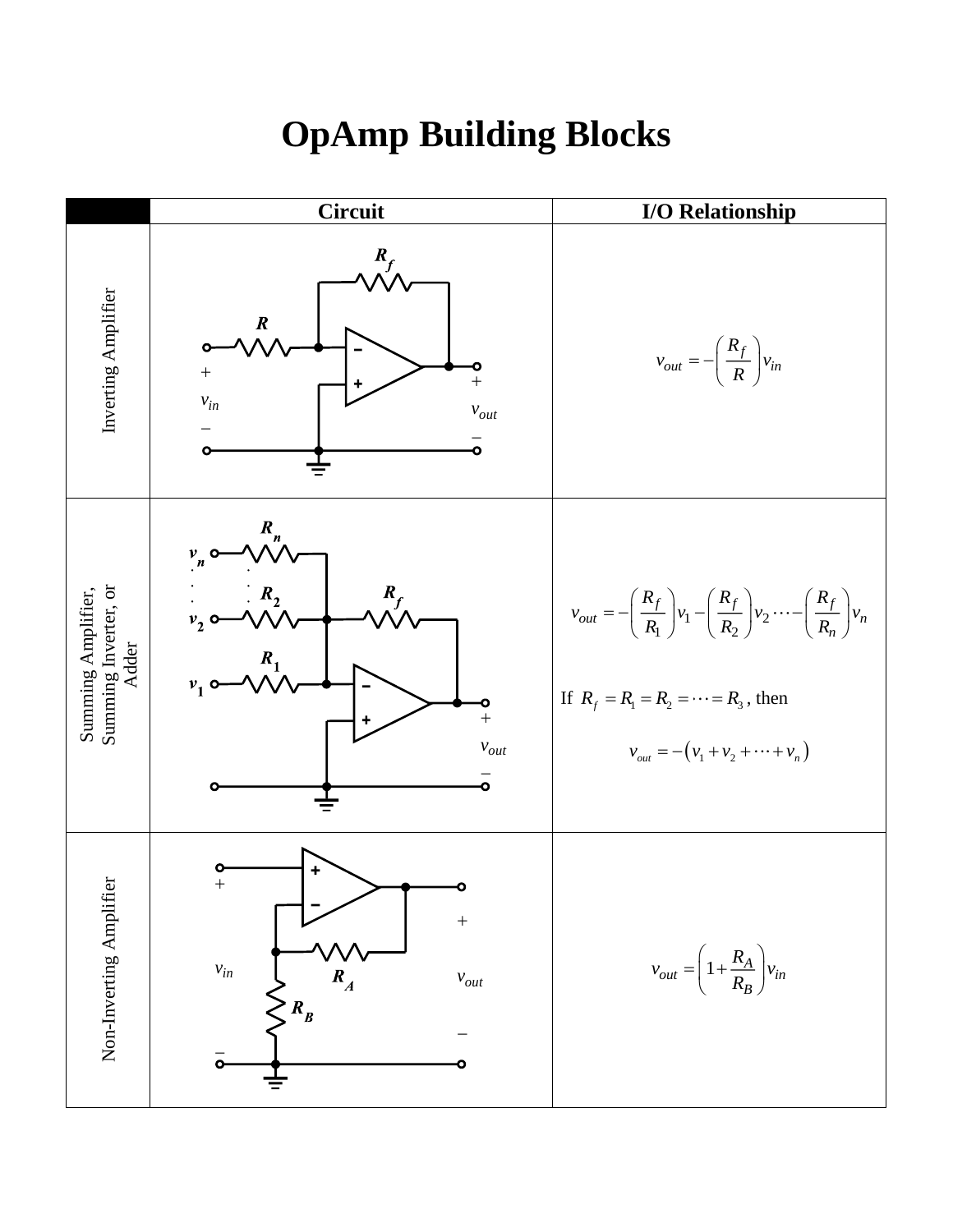## **OpAmp Building Blocks**

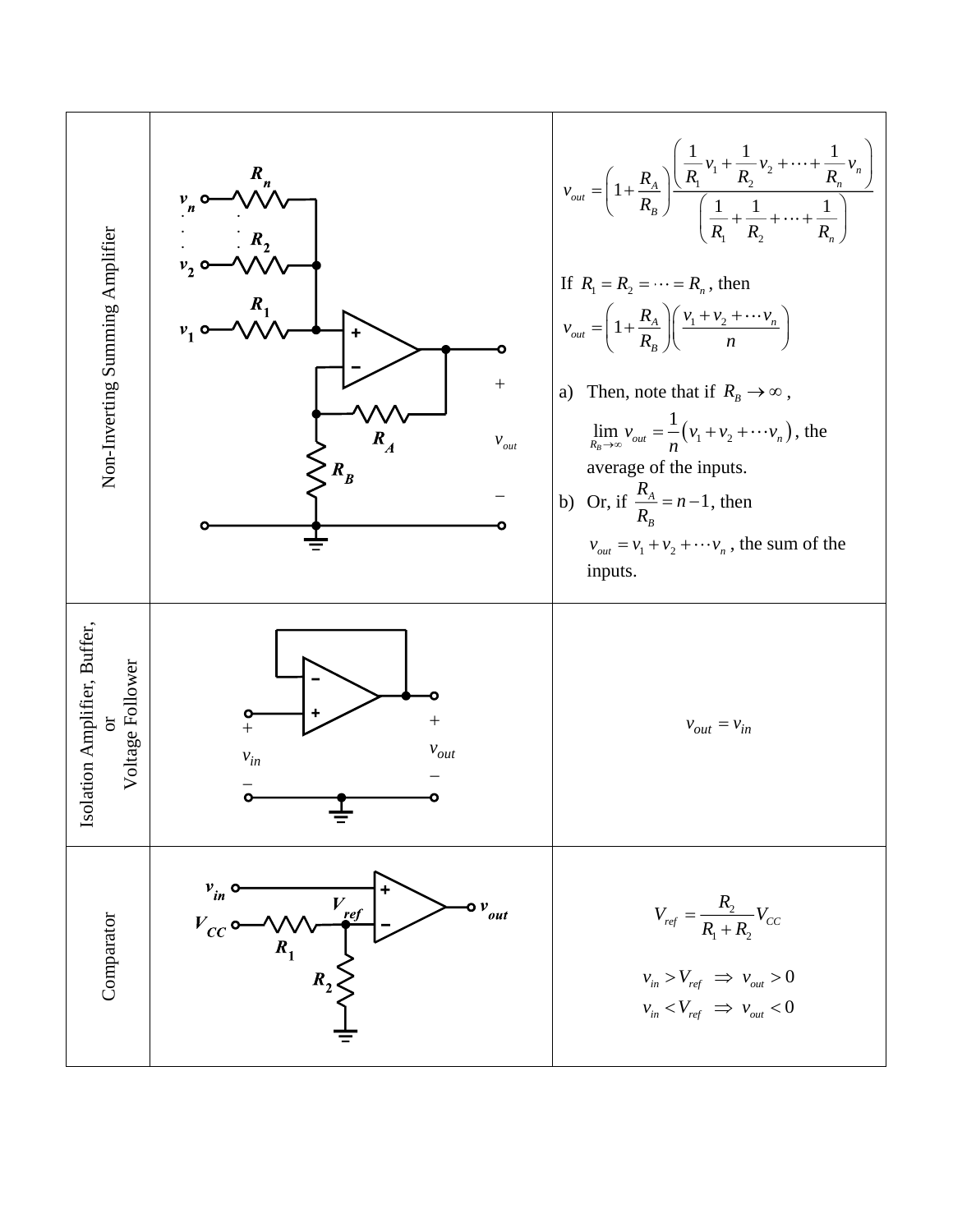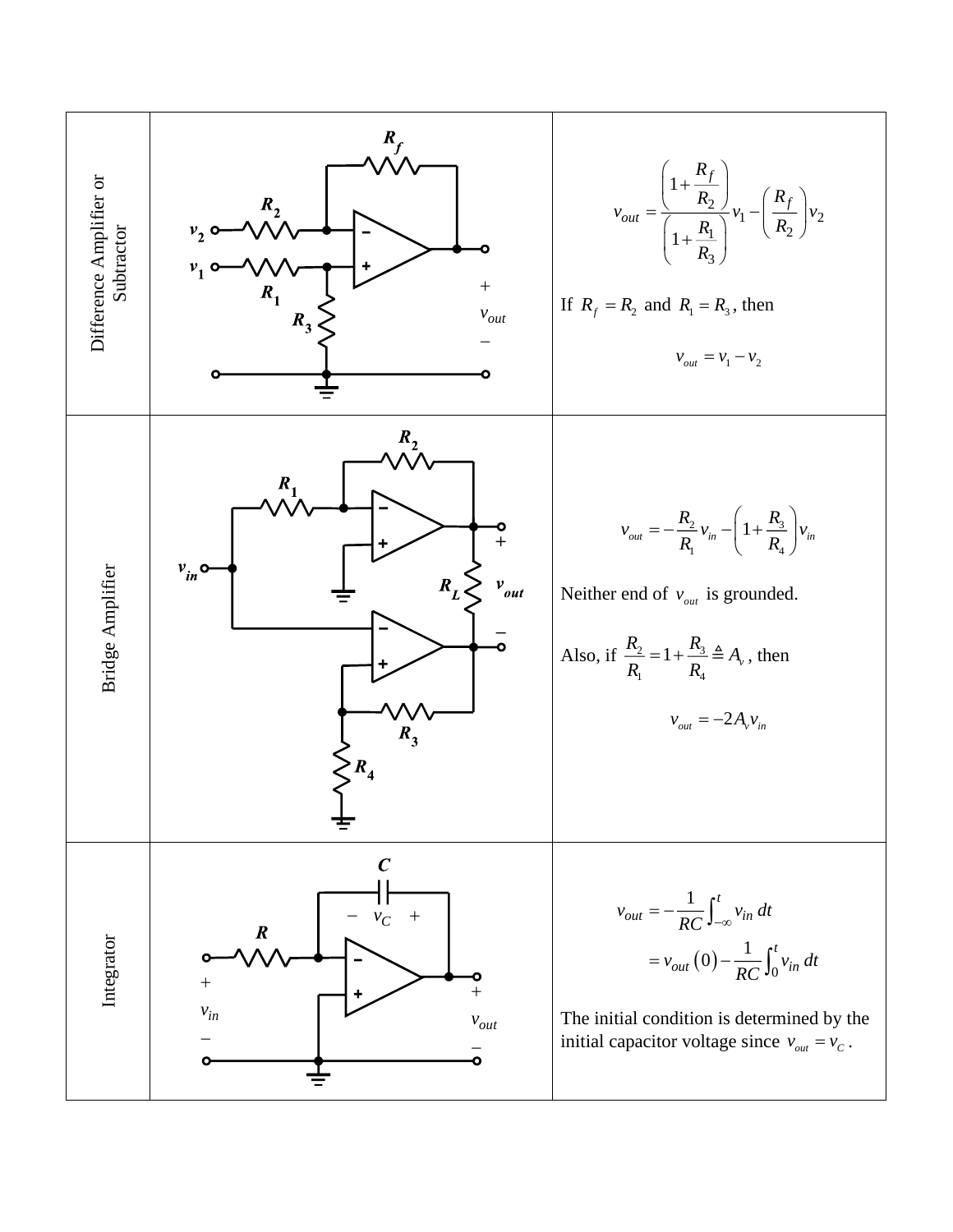